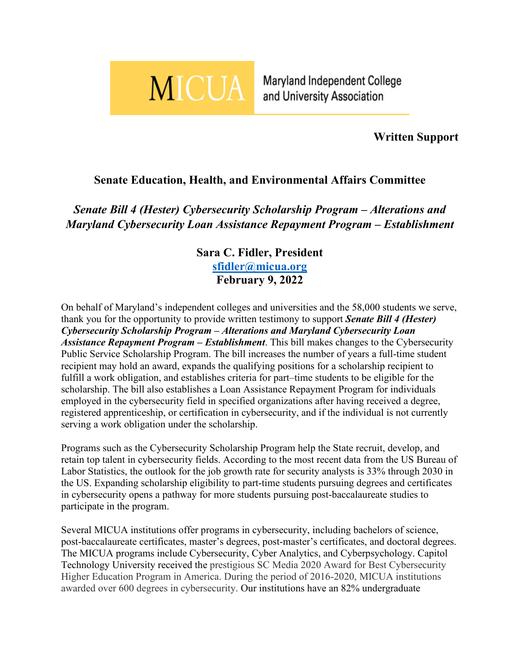

Maryland Independent College and University Association

**Written Support**

## **Senate Education, Health, and Environmental Affairs Committee**

*Senate Bill 4 (Hester) Cybersecurity Scholarship Program – Alterations and Maryland Cybersecurity Loan Assistance Repayment Program – Establishment*

## **Sara C. Fidler, President [sfidler@micua.org](mailto:sfidler@micua.org) February 9, 2022**

On behalf of Maryland's independent colleges and universities and the 58,000 students we serve, thank you for the opportunity to provide written testimony to support *Senate Bill 4 (Hester) Cybersecurity Scholarship Program – Alterations and Maryland Cybersecurity Loan Assistance Repayment Program – Establishment*. This bill makes changes to the Cybersecurity Public Service Scholarship Program. The bill increases the number of years a full-time student recipient may hold an award, expands the qualifying positions for a scholarship recipient to fulfill a work obligation, and establishes criteria for part–time students to be eligible for the scholarship. The bill also establishes a Loan Assistance Repayment Program for individuals employed in the cybersecurity field in specified organizations after having received a degree, registered apprenticeship, or certification in cybersecurity, and if the individual is not currently serving a work obligation under the scholarship.

Programs such as the Cybersecurity Scholarship Program help the State recruit, develop, and retain top talent in cybersecurity fields. According to the most recent data from the US Bureau of Labor Statistics, the outlook for the job growth rate for security analysts is 33% through 2030 in the US. Expanding scholarship eligibility to part-time students pursuing degrees and certificates in cybersecurity opens a pathway for more students pursuing post-baccalaureate studies to participate in the program.

Several MICUA institutions offer programs in cybersecurity, including bachelors of science, post-baccalaureate certificates, master's degrees, post-master's certificates, and doctoral degrees. The MICUA programs include Cybersecurity, Cyber Analytics, and Cyberpsychology. Capitol Technology University received the prestigious SC Media 2020 Award for Best Cybersecurity Higher Education Program in America. During the period of 2016-2020, MICUA institutions awarded over 600 degrees in cybersecurity. Our institutions have an 82% undergraduate